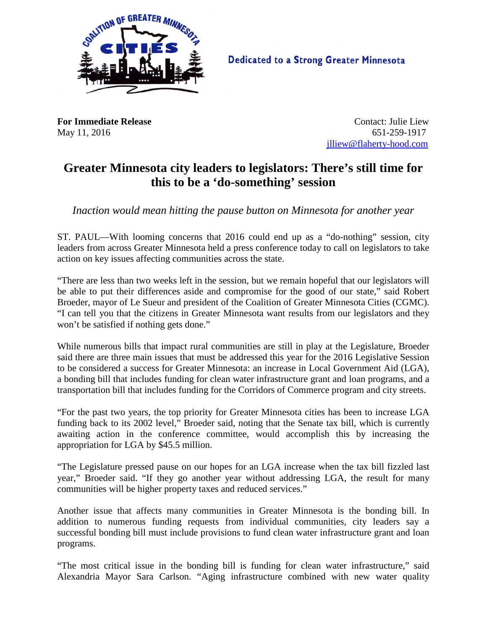

**Dedicated to a Strong Greater Minnesota** 

**For Immediate Release Contact: Julie Liew** May 11, 2016 651-259-1917 [jlliew@flaherty-hood.com](mailto:jlliew@flaherty-hood.com)

## **Greater Minnesota city leaders to legislators: There's still time for this to be a 'do-something' session**

*Inaction would mean hitting the pause button on Minnesota for another year*

ST. PAUL—With looming concerns that 2016 could end up as a "do-nothing" session, city leaders from across Greater Minnesota held a press conference today to call on legislators to take action on key issues affecting communities across the state.

"There are less than two weeks left in the session, but we remain hopeful that our legislators will be able to put their differences aside and compromise for the good of our state," said Robert Broeder, mayor of Le Sueur and president of the Coalition of Greater Minnesota Cities (CGMC). "I can tell you that the citizens in Greater Minnesota want results from our legislators and they won't be satisfied if nothing gets done."

While numerous bills that impact rural communities are still in play at the Legislature, Broeder said there are three main issues that must be addressed this year for the 2016 Legislative Session to be considered a success for Greater Minnesota: an increase in Local Government Aid (LGA), a bonding bill that includes funding for clean water infrastructure grant and loan programs, and a transportation bill that includes funding for the Corridors of Commerce program and city streets.

"For the past two years, the top priority for Greater Minnesota cities has been to increase LGA funding back to its 2002 level," Broeder said, noting that the Senate tax bill, which is currently awaiting action in the conference committee, would accomplish this by increasing the appropriation for LGA by \$45.5 million.

"The Legislature pressed pause on our hopes for an LGA increase when the tax bill fizzled last year," Broeder said. "If they go another year without addressing LGA, the result for many communities will be higher property taxes and reduced services."

Another issue that affects many communities in Greater Minnesota is the bonding bill. In addition to numerous funding requests from individual communities, city leaders say a successful bonding bill must include provisions to fund clean water infrastructure grant and loan programs.

"The most critical issue in the bonding bill is funding for clean water infrastructure," said Alexandria Mayor Sara Carlson. "Aging infrastructure combined with new water quality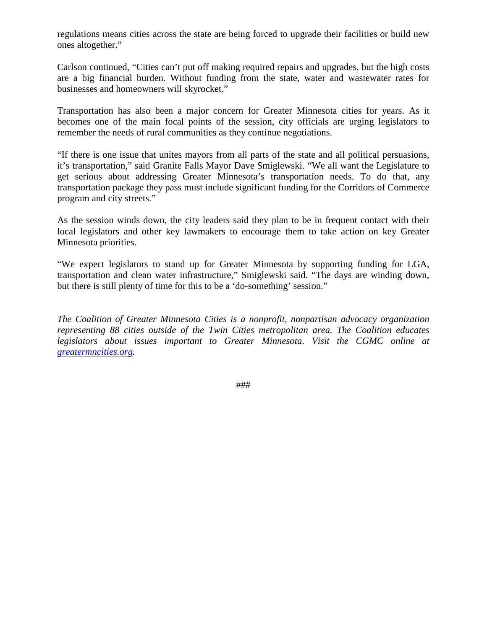regulations means cities across the state are being forced to upgrade their facilities or build new ones altogether."

Carlson continued, "Cities can't put off making required repairs and upgrades, but the high costs are a big financial burden. Without funding from the state, water and wastewater rates for businesses and homeowners will skyrocket."

Transportation has also been a major concern for Greater Minnesota cities for years. As it becomes one of the main focal points of the session, city officials are urging legislators to remember the needs of rural communities as they continue negotiations.

"If there is one issue that unites mayors from all parts of the state and all political persuasions, it's transportation," said Granite Falls Mayor Dave Smiglewski. "We all want the Legislature to get serious about addressing Greater Minnesota's transportation needs. To do that, any transportation package they pass must include significant funding for the Corridors of Commerce program and city streets."

As the session winds down, the city leaders said they plan to be in frequent contact with their local legislators and other key lawmakers to encourage them to take action on key Greater Minnesota priorities.

"We expect legislators to stand up for Greater Minnesota by supporting funding for LGA, transportation and clean water infrastructure," Smiglewski said. "The days are winding down, but there is still plenty of time for this to be a 'do-something' session."

*The Coalition of Greater Minnesota Cities is a nonprofit, nonpartisan advocacy organization representing 88 cities outside of the Twin Cities metropolitan area. The Coalition educates legislators about issues important to Greater Minnesota. Visit the CGMC online at [greatermncities.org.](http://greatermncities.org/)* 

###